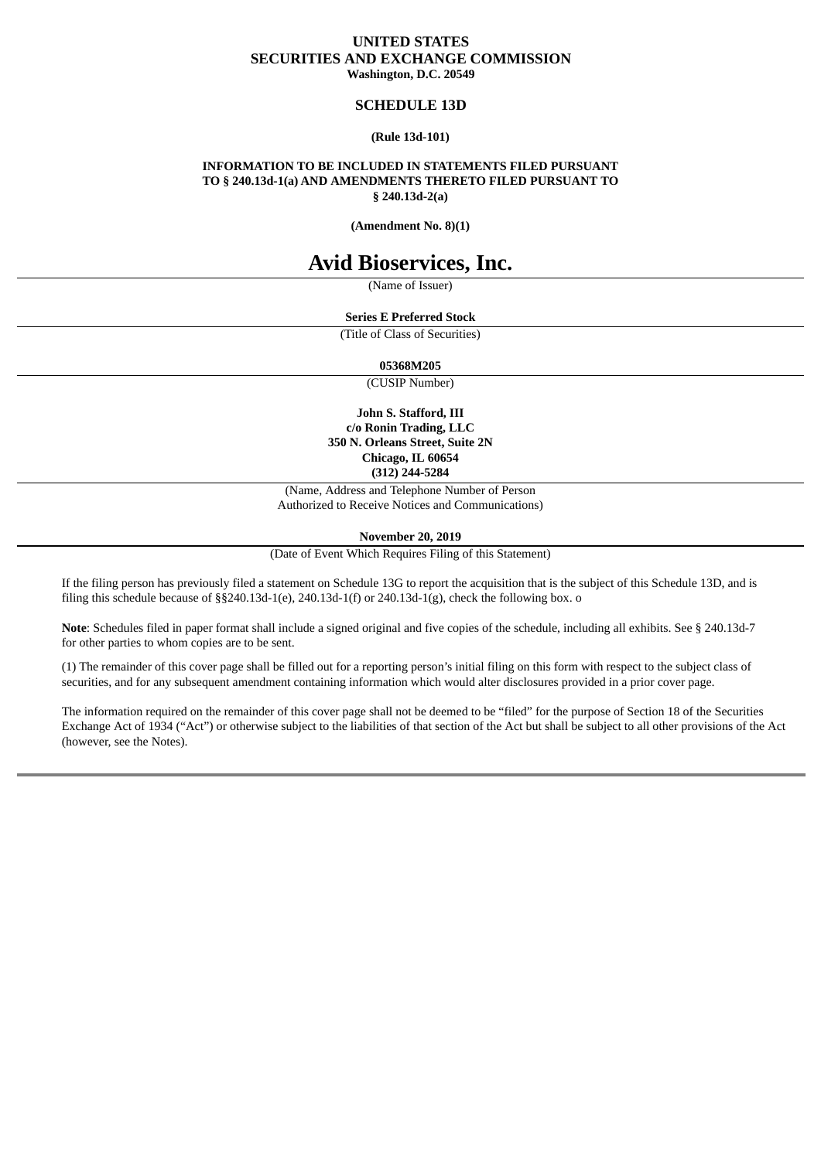## **UNITED STATES SECURITIES AND EXCHANGE COMMISSION Washington, D.C. 20549**

## **SCHEDULE 13D**

#### **(Rule 13d-101)**

## **INFORMATION TO BE INCLUDED IN STATEMENTS FILED PURSUANT TO § 240.13d-1(a) AND AMENDMENTS THERETO FILED PURSUANT TO § 240.13d-2(a)**

**(Amendment No. 8)(1)**

# **Avid Bioservices, Inc.**

(Name of Issuer)

## **Series E Preferred Stock**

(Title of Class of Securities)

#### **05368M205**

(CUSIP Number)

**John S. Stafford, III c/o Ronin Trading, LLC 350 N. Orleans Street, Suite 2N Chicago, IL 60654 (312) 244-5284**

(Name, Address and Telephone Number of Person Authorized to Receive Notices and Communications)

**November 20, 2019**

(Date of Event Which Requires Filing of this Statement)

If the filing person has previously filed a statement on Schedule 13G to report the acquisition that is the subject of this Schedule 13D, and is filing this schedule because of  $\S$ §240.13d-1(e), 240.13d-1(f) or 240.13d-1(g), check the following box. o

**Note**: Schedules filed in paper format shall include a signed original and five copies of the schedule, including all exhibits. See § 240.13d-7 for other parties to whom copies are to be sent.

(1) The remainder of this cover page shall be filled out for a reporting person's initial filing on this form with respect to the subject class of securities, and for any subsequent amendment containing information which would alter disclosures provided in a prior cover page.

The information required on the remainder of this cover page shall not be deemed to be "filed" for the purpose of Section 18 of the Securities Exchange Act of 1934 ("Act") or otherwise subject to the liabilities of that section of the Act but shall be subject to all other provisions of the Act (however, see the Notes).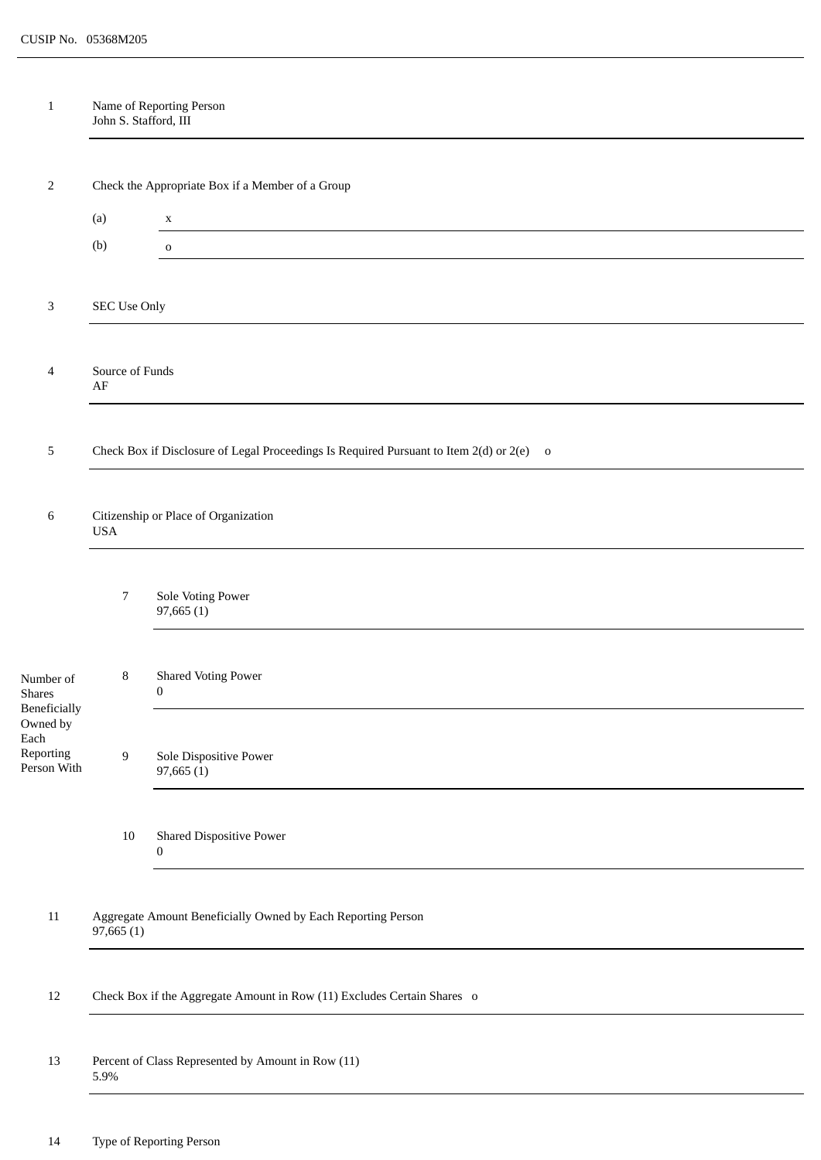| $\mathbf{1}$                     | John S. Stafford, III                                                     | Name of Reporting Person                                                                 |  |  |  |
|----------------------------------|---------------------------------------------------------------------------|------------------------------------------------------------------------------------------|--|--|--|
|                                  |                                                                           |                                                                                          |  |  |  |
| 2                                | Check the Appropriate Box if a Member of a Group                          |                                                                                          |  |  |  |
|                                  | (a)                                                                       | $\mathbf X$                                                                              |  |  |  |
|                                  | (b)                                                                       | $\mathbf 0$                                                                              |  |  |  |
|                                  |                                                                           |                                                                                          |  |  |  |
| 3                                | SEC Use Only                                                              |                                                                                          |  |  |  |
|                                  |                                                                           |                                                                                          |  |  |  |
| 4                                | Source of Funds<br>$\rm AF$                                               |                                                                                          |  |  |  |
|                                  |                                                                           |                                                                                          |  |  |  |
| 5                                |                                                                           | Check Box if Disclosure of Legal Proceedings Is Required Pursuant to Item 2(d) or 2(e) o |  |  |  |
|                                  |                                                                           |                                                                                          |  |  |  |
| 6                                | Citizenship or Place of Organization<br><b>USA</b>                        |                                                                                          |  |  |  |
|                                  |                                                                           |                                                                                          |  |  |  |
|                                  | $\overline{7}$                                                            | Sole Voting Power<br>97,665(1)                                                           |  |  |  |
|                                  |                                                                           |                                                                                          |  |  |  |
| Number of<br>Shares              | 8                                                                         | <b>Shared Voting Power</b><br>0                                                          |  |  |  |
| <b>Beneficially</b><br>Owned by  |                                                                           |                                                                                          |  |  |  |
| Each<br>Reporting<br>Person With | $\overline{9}$                                                            | Sole Dispositive Power<br>97,665(1)                                                      |  |  |  |
|                                  | $10\,$                                                                    | <b>Shared Dispositive Power</b>                                                          |  |  |  |
|                                  |                                                                           | 0                                                                                        |  |  |  |
| $11\,$                           | Aggregate Amount Beneficially Owned by Each Reporting Person<br>97,665(1) |                                                                                          |  |  |  |
| 12                               | Check Box if the Aggregate Amount in Row (11) Excludes Certain Shares o   |                                                                                          |  |  |  |
|                                  |                                                                           |                                                                                          |  |  |  |
| 13                               | 5.9%                                                                      | Percent of Class Represented by Amount in Row (11)                                       |  |  |  |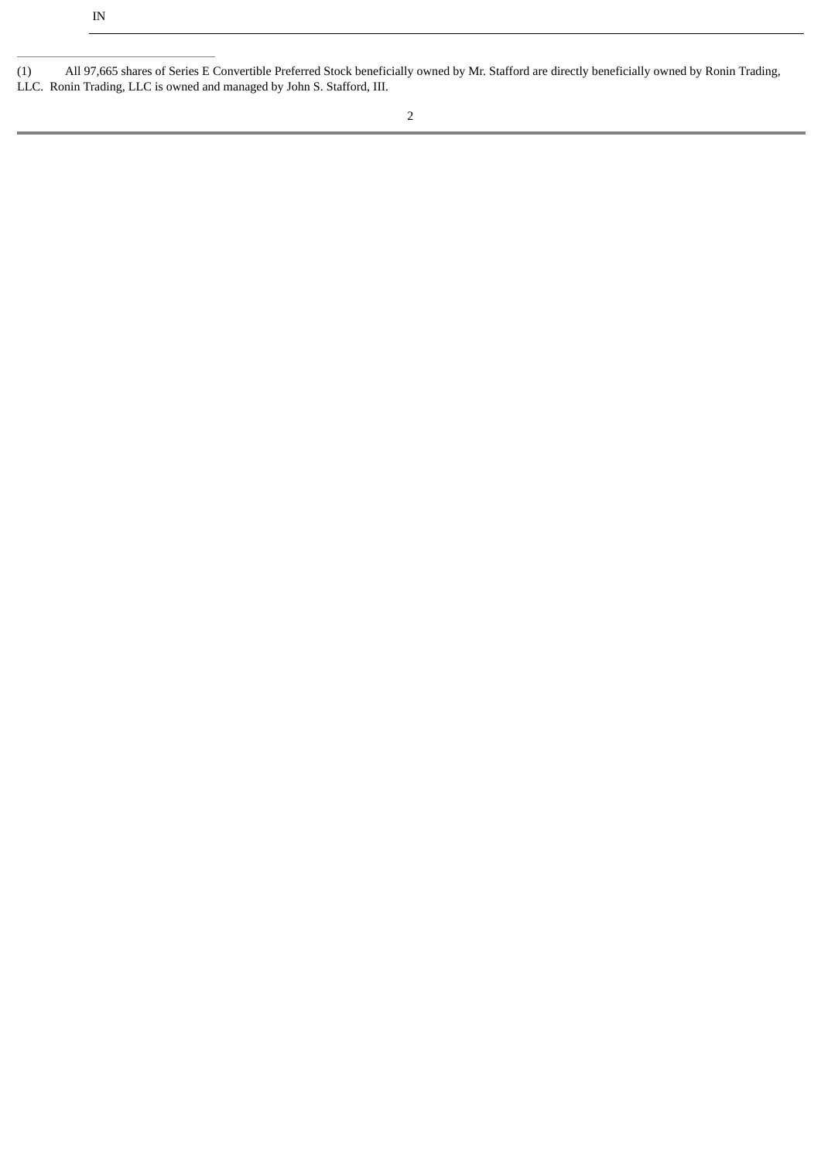| (1) | All 97,665 shares of Series E Convertible Preferred Stock beneficially owned by Mr. Stafford are directly beneficially owned by Ronin Trading, |  |
|-----|------------------------------------------------------------------------------------------------------------------------------------------------|--|
|     | LLC. Ronin Trading, LLC is owned and managed by John S. Stafford, III.                                                                         |  |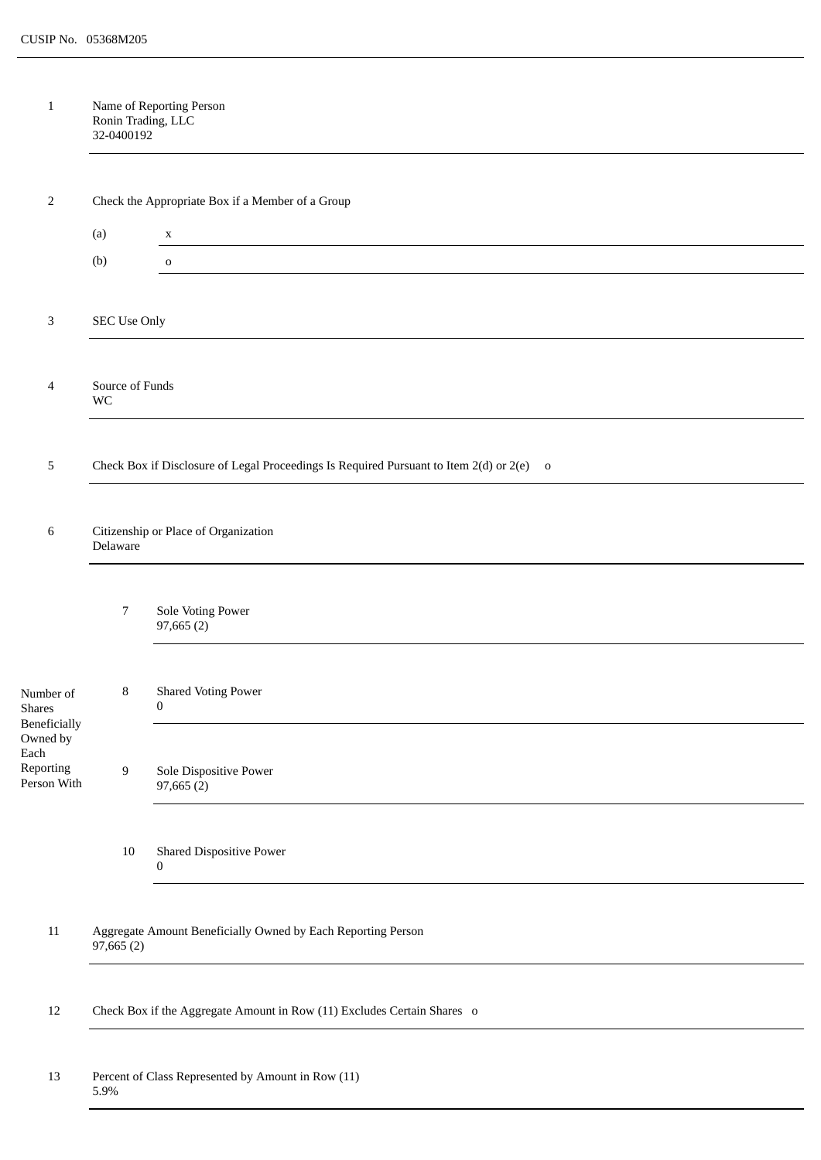| $\mathbf{1}$                                 | Ronin Trading, LLC<br>32-0400192                                          | Name of Reporting Person                                                                 |  |  |  |
|----------------------------------------------|---------------------------------------------------------------------------|------------------------------------------------------------------------------------------|--|--|--|
|                                              |                                                                           |                                                                                          |  |  |  |
| 2                                            |                                                                           | Check the Appropriate Box if a Member of a Group                                         |  |  |  |
|                                              | (a)                                                                       | $\mathbf x$                                                                              |  |  |  |
|                                              | (b)                                                                       | $\mathbf{o}$                                                                             |  |  |  |
| 3                                            | <b>SEC Use Only</b>                                                       |                                                                                          |  |  |  |
| 4                                            | Source of Funds<br>WC                                                     |                                                                                          |  |  |  |
|                                              |                                                                           |                                                                                          |  |  |  |
| 5                                            |                                                                           | Check Box if Disclosure of Legal Proceedings Is Required Pursuant to Item 2(d) or 2(e) o |  |  |  |
| 6                                            | Citizenship or Place of Organization<br>Delaware                          |                                                                                          |  |  |  |
|                                              | 7                                                                         | Sole Voting Power<br>97,665(2)                                                           |  |  |  |
| Number of<br>Shares<br>Beneficially          | 8                                                                         | <b>Shared Voting Power</b><br>$\overline{0}$                                             |  |  |  |
| Owned by<br>Each<br>Reporting<br>Person With | 9                                                                         | Sole Dispositive Power<br>97,665(2)                                                      |  |  |  |
|                                              | $10\,$                                                                    | <b>Shared Dispositive Power</b><br>$\bf{0}$                                              |  |  |  |
| $11\,$                                       | Aggregate Amount Beneficially Owned by Each Reporting Person<br>97,665(2) |                                                                                          |  |  |  |
| $12\,$                                       | Check Box if the Aggregate Amount in Row (11) Excludes Certain Shares o   |                                                                                          |  |  |  |
| 13                                           | Percent of Class Represented by Amount in Row (11)<br>5.9%                |                                                                                          |  |  |  |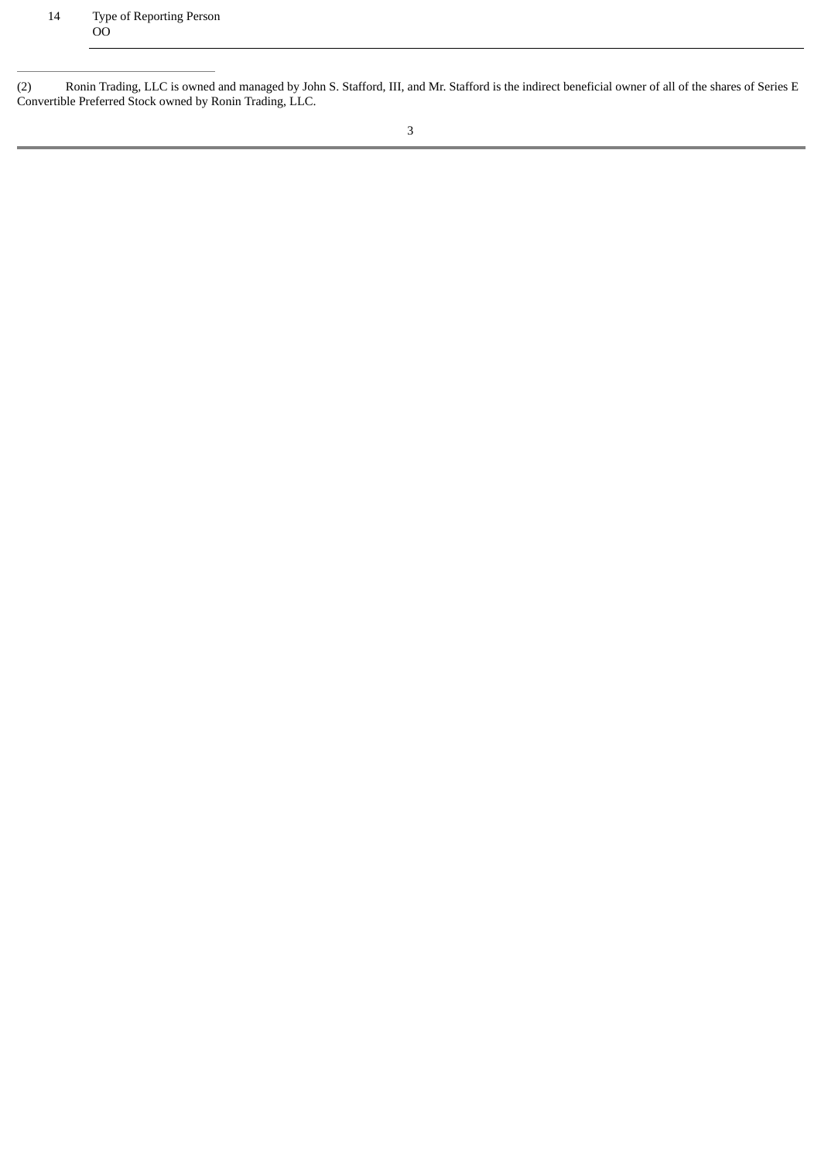(2) Ronin Trading, LLC is owned and managed by John S. Stafford, III, and Mr. Stafford is the indirect beneficial owner of all of the shares of Series E Convertible Preferred Stock owned by Ronin Trading, LLC.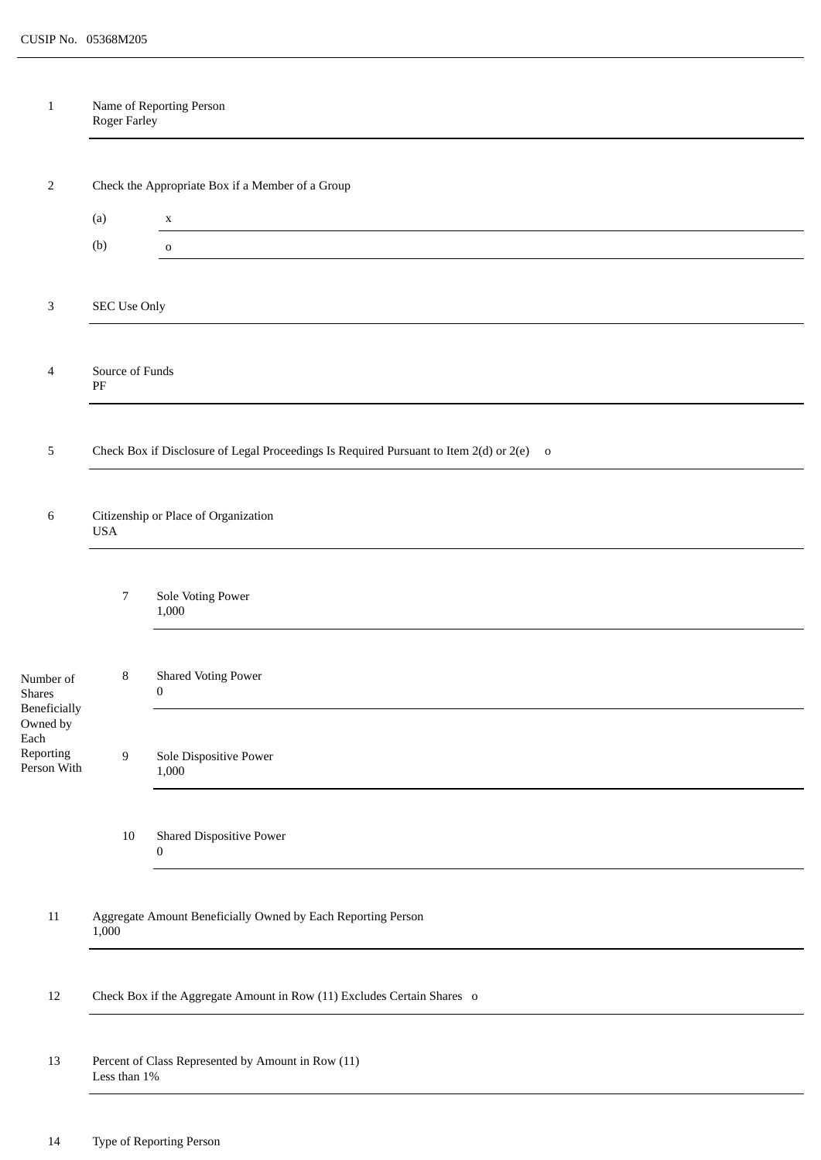| $\mathbf{1}$                                                 | Roger Farley                                                            | Name of Reporting Person                                                                 |  |  |
|--------------------------------------------------------------|-------------------------------------------------------------------------|------------------------------------------------------------------------------------------|--|--|
|                                                              |                                                                         |                                                                                          |  |  |
| 2                                                            | Check the Appropriate Box if a Member of a Group                        |                                                                                          |  |  |
|                                                              | (a)                                                                     | $\mathbf X$                                                                              |  |  |
|                                                              | (b)                                                                     | $\mathbf 0$                                                                              |  |  |
| $\mathbf{3}$                                                 | SEC Use Only                                                            |                                                                                          |  |  |
|                                                              |                                                                         |                                                                                          |  |  |
| 4                                                            | Source of Funds<br>$\rm PF$                                             |                                                                                          |  |  |
|                                                              |                                                                         |                                                                                          |  |  |
| 5                                                            |                                                                         | Check Box if Disclosure of Legal Proceedings Is Required Pursuant to Item 2(d) or 2(e) o |  |  |
| 6                                                            | Citizenship or Place of Organization<br><b>USA</b>                      |                                                                                          |  |  |
|                                                              | 7                                                                       | Sole Voting Power<br>1,000                                                               |  |  |
| Number of<br><b>Shares</b>                                   | 8                                                                       | <b>Shared Voting Power</b><br>$\boldsymbol{0}$                                           |  |  |
| Beneficially<br>Owned by<br>Each<br>Reporting<br>Person With | $\boldsymbol{9}$                                                        | Sole Dispositive Power<br>1,000                                                          |  |  |
|                                                              | $10\,$                                                                  | <b>Shared Dispositive Power</b><br>$\boldsymbol{0}$                                      |  |  |
| $11\,$                                                       | Aggregate Amount Beneficially Owned by Each Reporting Person<br>1,000   |                                                                                          |  |  |
| 12                                                           | Check Box if the Aggregate Amount in Row (11) Excludes Certain Shares o |                                                                                          |  |  |
| 13                                                           | Percent of Class Represented by Amount in Row (11)<br>Less than $1\%$   |                                                                                          |  |  |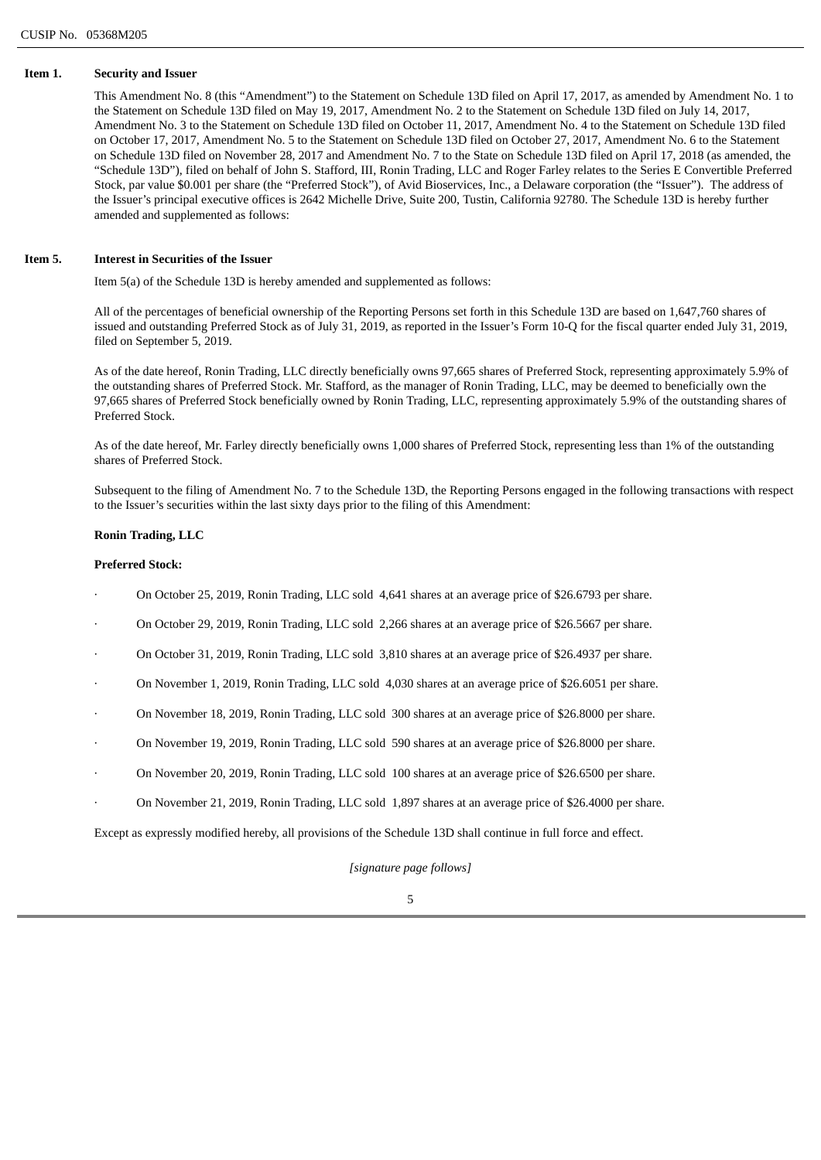## **Item 1. Security and Issuer**

This Amendment No. 8 (this "Amendment") to the Statement on Schedule 13D filed on April 17, 2017, as amended by Amendment No. 1 to the Statement on Schedule 13D filed on May 19, 2017, Amendment No. 2 to the Statement on Schedule 13D filed on July 14, 2017, Amendment No. 3 to the Statement on Schedule 13D filed on October 11, 2017, Amendment No. 4 to the Statement on Schedule 13D filed on October 17, 2017, Amendment No. 5 to the Statement on Schedule 13D filed on October 27, 2017, Amendment No. 6 to the Statement on Schedule 13D filed on November 28, 2017 and Amendment No. 7 to the State on Schedule 13D filed on April 17, 2018 (as amended, the "Schedule 13D"), filed on behalf of John S. Stafford, III, Ronin Trading, LLC and Roger Farley relates to the Series E Convertible Preferred Stock, par value \$0.001 per share (the "Preferred Stock"), of Avid Bioservices, Inc., a Delaware corporation (the "Issuer"). The address of the Issuer's principal executive offices is 2642 Michelle Drive, Suite 200, Tustin, California 92780. The Schedule 13D is hereby further amended and supplemented as follows:

## **Item 5. Interest in Securities of the Issuer**

Item 5(a) of the Schedule 13D is hereby amended and supplemented as follows:

All of the percentages of beneficial ownership of the Reporting Persons set forth in this Schedule 13D are based on 1,647,760 shares of issued and outstanding Preferred Stock as of July 31, 2019, as reported in the Issuer's Form 10-Q for the fiscal quarter ended July 31, 2019, filed on September 5, 2019.

As of the date hereof, Ronin Trading, LLC directly beneficially owns 97,665 shares of Preferred Stock, representing approximately 5.9% of the outstanding shares of Preferred Stock. Mr. Stafford, as the manager of Ronin Trading, LLC, may be deemed to beneficially own the 97,665 shares of Preferred Stock beneficially owned by Ronin Trading, LLC, representing approximately 5.9% of the outstanding shares of Preferred Stock.

As of the date hereof, Mr. Farley directly beneficially owns 1,000 shares of Preferred Stock, representing less than 1% of the outstanding shares of Preferred Stock.

Subsequent to the filing of Amendment No. 7 to the Schedule 13D, the Reporting Persons engaged in the following transactions with respect to the Issuer's securities within the last sixty days prior to the filing of this Amendment:

## **Ronin Trading, LLC**

## **Preferred Stock:**

- · On October 25, 2019, Ronin Trading, LLC sold 4,641 shares at an average price of \$26.6793 per share.
- · On October 29, 2019, Ronin Trading, LLC sold 2,266 shares at an average price of \$26.5667 per share.
- · On October 31, 2019, Ronin Trading, LLC sold 3,810 shares at an average price of \$26.4937 per share.
- · On November 1, 2019, Ronin Trading, LLC sold 4,030 shares at an average price of \$26.6051 per share.
- · On November 18, 2019, Ronin Trading, LLC sold 300 shares at an average price of \$26.8000 per share.
- · On November 19, 2019, Ronin Trading, LLC sold 590 shares at an average price of \$26.8000 per share.
- · On November 20, 2019, Ronin Trading, LLC sold 100 shares at an average price of \$26.6500 per share.
- · On November 21, 2019, Ronin Trading, LLC sold 1,897 shares at an average price of \$26.4000 per share.

Except as expressly modified hereby, all provisions of the Schedule 13D shall continue in full force and effect.

*[signature page follows]*